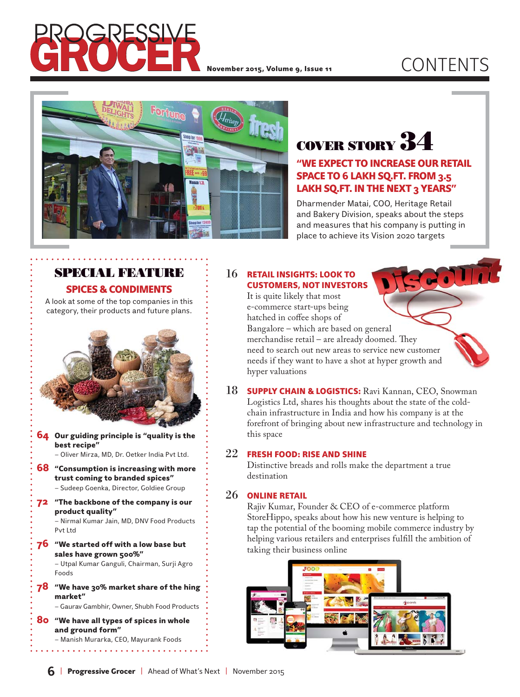

## November 2015, Volume 9, Issue 11  $\mathsf{COMTENTS}$



# **COVER STORY 34**

### "WE EXPECT TO INCREASE OUR RETAIL SPACE TO 6 LAKH SQ.FT. FROM 3.5 LAKH SQ.FT. IN THE NEXT 3 YEARS"

Dharmender Matai, COO, Heritage Retail and Bakery Division, speaks about the steps and measures that his company is putting in place to achieve its Vision 2020 targets

### **SPECIAL FEATURE** SPICES & CONDIMENTS

A look at some of the top companies in this category, their products and future plans.



- **64** Our guiding principle is "quality is the best recipe" – Oliver Mirza, MD, Dr. Oetker India Pvt Ltd.
- 68 "Consumption is increasing with more trust coming to branded spices" – Sudeep Goenka, Director, Goldiee Group
- 72 "The backbone of the company is our product quality" – Nirmal Kumar Jain, MD, DNV Food Products Pvt Ltd
- 76 "We started off with a low base but sales have grown 500%"

– Utpal Kumar Ganguli, Chairman, Surji Agro Foods

 $78$  "We have 30% market share of the hing market"

– Gaurav Gambhir, Owner, Shubh Food Products

80 "We have all types of spices in whole and ground form" – Manish Murarka, CEO, Mayurank Foods

. . . . . . . . . . . . . . . . . .

#### 16 RETAIL INSIGHTS: LOOK TO CUSTOMERS, NOT INVESTORS

 It is quite likely that most e-commerce start-ups being hatched in coffee shops of Bangalore – which are based on general merchandise retail – are already doomed. They need to search out new areas to service new customer needs if they want to have a shot at hyper growth and hyper valuations

18 **SUPPLY CHAIN & LOGISTICS:** Ravi Kannan, CEO, Snowman Logistics Ltd, shares his thoughts about the state of the coldchain infrastructure in India and how his company is at the forefront of bringing about new infrastructure and technology in this space

### 22 FRESH FOOD: RISE AND SHINE

 Distinctive breads and rolls make the department a true destination

### 26 ONLINE RETAIL

 Rajiv Kumar, Founder & CEO of e-commerce platform StoreHippo, speaks about how his new venture is helping to tap the potential of the booming mobile commerce industry by helping various retailers and enterprises fulfill the ambition of taking their business online